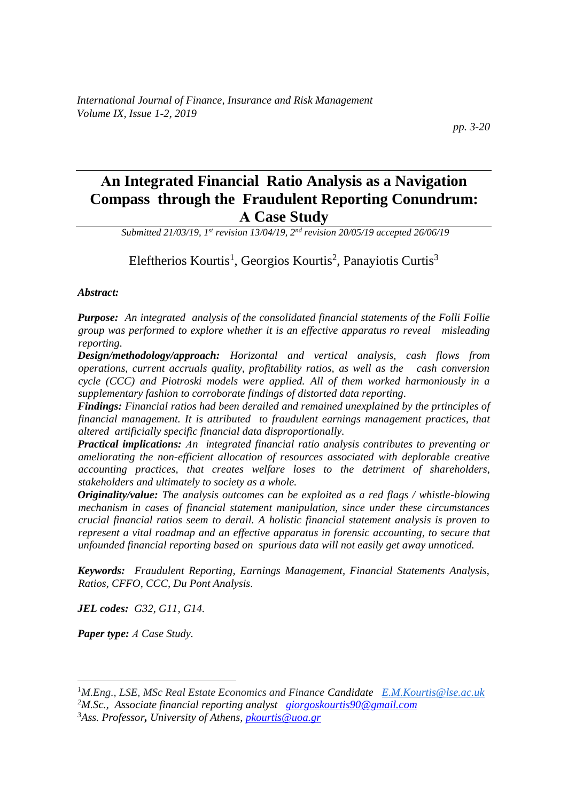# **Αn Integrated Financial Ratio Analysis as a Navigation Compass through the Fraudulent Reporting Conundrum: Α Case Study**

*Submitted 21/03/19, 1 st revision 13/04/19, 2nd revision 20/05/19 accepted 26/06/19*

Eleftherios Kourtis<sup>1</sup>, Georgios Kourtis<sup>2</sup>, Panayiotis Curtis<sup>3</sup>

#### *Abstract:*

*Purpose: An integrated analysis of the consolidated financial statements of the Folli Follie group was performed to explore whether it is an effective apparatus ro reveal misleading reporting.*

*Design/methodology/approach: Horizontal and vertical analysis, cash flows from operations, current accruals quality, profitability ratios, as well as the cash conversion cycle (CCC) and Piotroski models were applied. All of them worked harmoniously in a supplementary fashion to corroborate findings of distorted data reporting.*

*Findings: Financial ratios had been derailed and remained unexplained by the prtinciples of financial management. It is attributed to fraudulent earnings management practices, that altered artificially specific financial data disproportionally.*

*Practical implications: Αn integrated financial ratio analysis contributes to preventing or ameliorating the non-efficient allocation of resources associated with deplorable creative accounting practices, that creates welfare loses to the detriment of shareholders, stakeholders and ultimately to society as a whole.* 

*Originality/value: The analysis outcomes can be exploited as a red flags / whistle-blowing mechanism in cases of financial statement manipulation, since under these circumstances crucial financial ratios seem to derail. A holistic financial statement analysis is proven to represent a vital roadmap and an effective apparatus in forensic accounting, to secure that unfounded financial reporting based on spurious data will not easily get away unnoticed.*

*Keywords: Fraudulent Reporting, Earnings Management, Financial Statements Analysis, Ratios, CFFO, CCC, Du Pont Analysis.*

*JEL codes: G32, G11, G14.*

*Paper type: Α Case Study.*

*<sup>1</sup>M.Eng., LSE, MSc Real Estate Economics and Finance Candidate [E.M.Kourtis@lse.ac.uk](mailto:E.M.Kourtis@lse.ac.uk)*

*<sup>2</sup>M.Sc., Associate financial reporting analyst [giorgoskourtis90@gmail.com](mailto:giorgoskourtis90@gmail.com)*

*<sup>3</sup>Ass. Professor, University of Athens, [pkourtis@uoa.gr](mailto:pkourtis@uoa.gr)*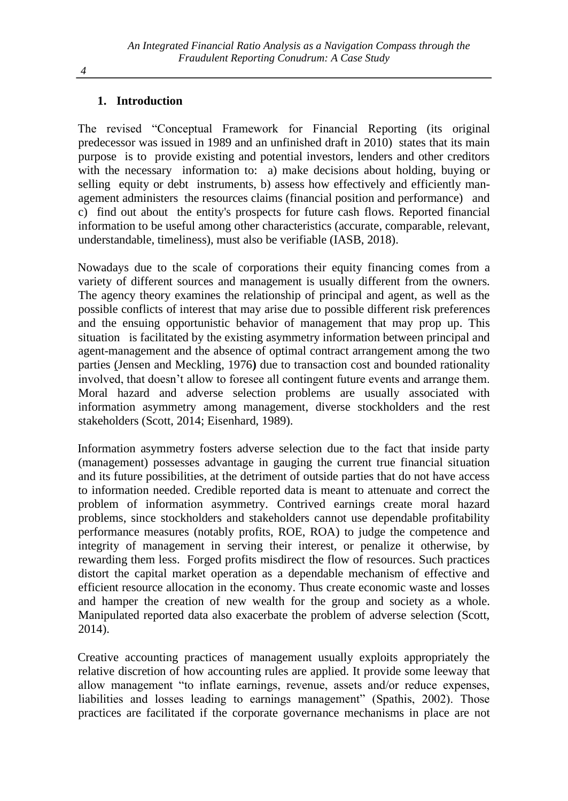### **1. Introduction**

The revised "Conceptual Framework for Financial Reporting (its original predecessor was issued in 1989 and an unfinished draft in 2010) states that its main purpose is to provide existing and potential investors, lenders and other creditors with the necessary information to: a) make decisions about holding, buying or selling equity or debt instruments, b) assess how effectively and efficiently management administers the resources claims (financial position and performance) and c) find out about the entity's prospects for future cash flows. Reported financial information to be useful among other characteristics (accurate, comparable, relevant, understandable, timeliness), must also be verifiable (IASB, 2018).

Nowadays due to the scale of corporations their equity financing comes from a variety of different sources and management is usually different from the owners. The agency theory examines the relationship of principal and agent, as well as the possible conflicts of interest that may arise due to possible different risk preferences and the ensuing opportunistic behavior of management that may prop up. This situation is facilitated by the existing asymmetry information between principal and agent-management and the absence of optimal contract arrangement among the two parties (Jensen and Meckling, 1976**)** due to transaction cost and bounded rationality involved, that doesn't allow to foresee all contingent future events and arrange them. Moral hazard and adverse selection problems are usually associated with information asymmetry among management, diverse stockholders and the rest stakeholders (Scott, 2014; Eisenhard, 1989).

Information asymmetry fosters adverse selection due to the fact that inside party (management) possesses advantage in gauging the current true financial situation and its future possibilities, at the detriment of outside parties that do not have access to information needed. Credible reported data is meant to attenuate and correct the problem of information asymmetry. Contrived earnings create moral hazard problems, since stockholders and stakeholders cannot use dependable profitability performance measures (notably profits, ROE, ROA) to judge the competence and integrity of management in serving their interest, or penalize it otherwise, by rewarding them less. Forged profits misdirect the flow of resources. Such practices distort the capital market operation as a dependable mechanism of effective and efficient resource allocation in the economy. Thus create economic waste and losses and hamper the creation of new wealth for the group and society as a whole. Manipulated reported data also exacerbate the problem of adverse selection (Scott, 2014).

Creative accounting practices of management usually exploits appropriately the relative discretion of how accounting rules are applied. It provide some leeway that allow management "to inflate earnings, revenue, assets and/or reduce expenses, liabilities and losses leading to earnings management" (Spathis, 2002). Those practices are facilitated if the corporate governance mechanisms in place are not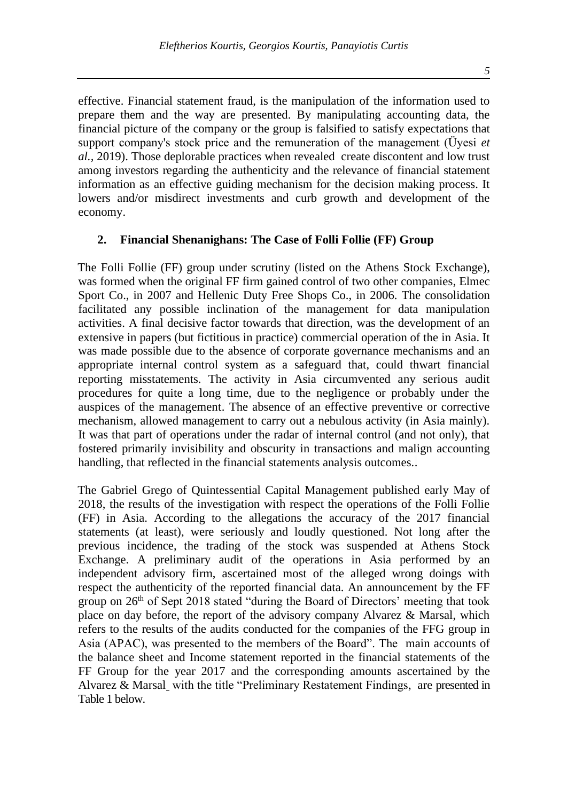effective. Financial statement fraud, is the manipulation of the information used to prepare them and the way are presented. By manipulating accounting data, the financial picture of the company or the group is falsified to satisfy expectations that support company's stock price and the remuneration of the management (Üyesi *et al.,* 2019). Those deplorable practices when revealed create discontent and low trust among investors regarding the authenticity and the relevance of financial statement information as an effective guiding mechanism for the decision making process. It lowers and/or misdirect investments and curb growth and development of the economy.

#### **2. Financial Shenanighans: The Case of Folli Follie (FF) Group**

The Folli Follie (FF) group under scrutiny (listed on the Athens Stock Εxchange), was formed when the original FF firm gained control of two other companies, Elmec Sport Co., in 2007 and Hellenic Duty Free Shops Co., in 2006. The consolidation facilitated any possible inclination of the management for data manipulation activities. A final decisive factor towards that direction, was the development of an extensive in papers (but fictitious in practice) commercial operation of the in Asia. It was made possible due to the absence of corporate governance mechanisms and an appropriate internal control system as a safeguard that, could thwart financial reporting misstatements. The activity in Asia circumvented any serious audit procedures for quite a long time, due to the negligence or probably under the auspices of the management. The absence of an effective preventive or corrective mechanism, allowed management to carry out a nebulous activity (in Asia mainly). It was that part of operations under the radar of internal control (and not only), that fostered primarily invisibility and obscurity in transactions and malign accounting handling, that reflected in the financial statements analysis outcomes..

The Gabriel Grego of Quintessential Capital Management published early May of 2018, the results of the investigation with respect the operations of the Folli Follie (FF) in Asia. According to the allegations the accuracy of the 2017 financial statements (at least), were seriously and loudly questioned. Not long after the previous incidence, the trading of the stock was suspended at Athens Stock Exchange. A preliminary audit of the operations in Asia performed by an independent advisory firm, ascertained most of the alleged wrong doings with respect the authenticity of the reported financial data. An announcement by the FF group on  $26<sup>th</sup>$  of Sept 2018 stated "during the Board of Directors' meeting that took place on day before, the report of the advisory company Alvarez & Marsal, which refers to the results of the audits conducted for the companies of the FFG group in Asia (APAC), was presented to the members of the Board". The main accounts of the balance sheet and Income statement reported in the financial statements of the FF Group for the year 2017 and the corresponding amounts ascertained by the Alvarez & Marsal with the title "Preliminary Restatement Findings, are presented in Table 1 below.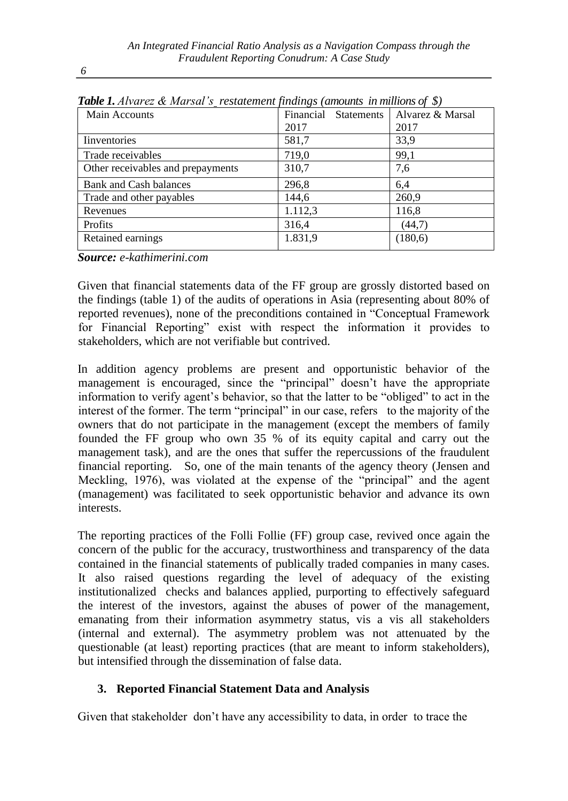| <b>Table 1.</b> Atvarez $\alpha$ marsat s restatement finalities (amounts in millions of $\phi$ ) |                      |                  |  |  |  |  |  |
|---------------------------------------------------------------------------------------------------|----------------------|------------------|--|--|--|--|--|
| Main Accounts                                                                                     | Financial Statements | Alvarez & Marsal |  |  |  |  |  |
|                                                                                                   | 2017                 | 2017             |  |  |  |  |  |
| Inventories                                                                                       | 581,7                | 33,9             |  |  |  |  |  |
| Trade receivables                                                                                 | 719,0                | 99,1             |  |  |  |  |  |
| Other receivables and prepayments                                                                 | 310,7                | 7,6              |  |  |  |  |  |
| <b>Bank and Cash balances</b>                                                                     | 296,8                | 6,4              |  |  |  |  |  |
| Trade and other payables                                                                          | 144,6                | 260,9            |  |  |  |  |  |
| Revenues                                                                                          | 1.112,3              | 116,8            |  |  |  |  |  |
| Profits                                                                                           | 316,4                | (44,7)           |  |  |  |  |  |
| Retained earnings                                                                                 | 1.831,9              | (180,6)          |  |  |  |  |  |
|                                                                                                   |                      |                  |  |  |  |  |  |

*Table 1. Alvarez & Marsal's restatement findings (amounts in millions of \$)*

*Source: e-kathimerini.com*

Given that financial statements data of the FF group are grossly distorted based on the findings (table 1) of the audits of operations in Asia (representing about 80% of reported revenues), none of the preconditions contained in "Conceptual Framework for Financial Reporting" exist with respect the information it provides to stakeholders, which are not verifiable but contrived.

In addition agency problems are present and opportunistic behavior of the management is encouraged, since the "principal" doesn't have the appropriate information to verify agent's behavior, so that the latter to be "obliged" to act in the interest of the former. The term "principal" in our case, refers to the majority of the owners that do not participate in the management (except the members of family founded the FF group who own 35 % of its equity capital and carry out the management task), and are the ones that suffer the repercussions of the fraudulent financial reporting. So, one of the main tenants of the agency theory (Jensen and Meckling, 1976), was violated at the expense of the "principal" and the agent (management) was facilitated to seek opportunistic behavior and advance its own interests.

The reporting practices of the Folli Follie (FF) group case, revived once again the concern of the public for the accuracy, trustworthiness and transparency of the data contained in the financial statements of publically traded companies in many cases. Ιt also raised questions regarding the level of adequacy of the existing institutionalized checks and balances applied, purporting to effectively safeguard the interest of the investors, against the abuses of power of the management, emanating from their information asymmetry status, vis a vis all stakeholders (internal and external). The asymmetry problem was not attenuated by the questionable (at least) reporting practices (that are meant to inform stakeholders), but intensified through the dissemination of false data.

# **3. Reported Financial Statement Data and Analysis**

Given that stakeholder don't have any accessibility to data, in order to trace the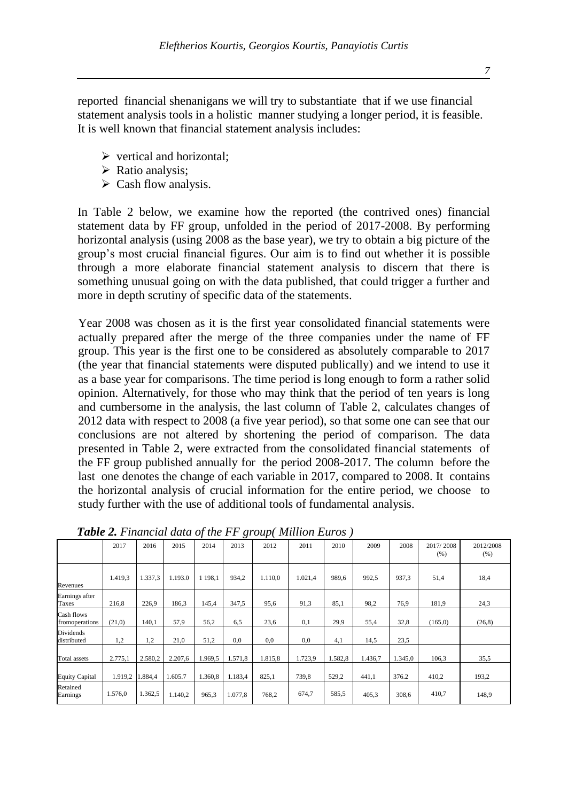*7*

reported financial shenanigans we will try to substantiate that if we use financial statement analysis tools in a holistic manner studying a longer period, it is feasible. It is well known that financial statement analysis includes:

- $\triangleright$  vertical and horizontal;
- ➢ Ratio analysis;
- $\triangleright$  Cash flow analysis.

In Table 2 below, we examine how the reported (the contrived ones) financial statement data by FF group, unfolded in the period of 2017-2008. By performing horizontal analysis (using 2008 as the base year), we try to obtain a big picture of the group's most crucial financial figures. Our aim is to find out whether it is possible through a more elaborate financial statement analysis to discern that there is something unusual going on with the data published, that could trigger a further and more in depth scrutiny of specific data of the statements.

Year 2008 was chosen as it is the first year consolidated financial statements were actually prepared after the merge of the three companies under the name of FF group. This year is the first one to be considered as absolutely comparable to 2017 (the year that financial statements were disputed publically) and we intend to use it as a base year for comparisons. The time period is long enough to form a rather solid opinion. Alternatively, for those who may think that the period of ten years is long and cumbersome in the analysis, the last column of Table 2, calculates changes of 2012 data with respect to 2008 (a five year period), so that some one can see that our conclusions are not altered by shortening the period of comparison. The data presented in Table 2, were extracted from the consolidated financial statements of the FF group published annually for the period 2008-2017. The column before the last one denotes the change of each variable in 2017, compared to 2008. It contains the horizontal analysis of crucial information for the entire period, we choose to study further with the use of additional tools of fundamental analysis.

|                                | 2017    | 2016    | 2015    | 2014       | 2013    | 2012    | 2011    | 2010    | 2009    | 2008    | 2017/2008<br>(% ) | 2012/2008<br>(% ) |
|--------------------------------|---------|---------|---------|------------|---------|---------|---------|---------|---------|---------|-------------------|-------------------|
| Revenues                       | 1.419.3 | 1.337.3 | 1.193.0 | 1 1 9 8 .1 | 934.2   | 1.110.0 | 1.021.4 | 989.6   | 992.5   | 937.3   | 51,4              | 18,4              |
| Earnings after<br><b>Taxes</b> | 216.8   | 226,9   | 186,3   | 145,4      | 347,5   | 95,6    | 91.3    | 85,1    | 98,2    | 76.9    | 181,9             | 24,3              |
| Cash flows<br>fromoperations   | (21,0)  | 140,1   | 57,9    | 56,2       | 6,5     | 23,6    | 0,1     | 29,9    | 55,4    | 32,8    | (165,0)           | (26, 8)           |
| Dividends<br>distributed       | 1,2     | 1,2     | 21,0    | 51,2       | 0,0     | 0.0     | 0,0     | 4,1     | 14,5    | 23,5    |                   |                   |
| Total assets                   | 2.775,1 | 2.580,2 | 2.207,6 | 1.969,5    | 1.571,8 | 1.815,8 | 1.723,9 | 1.582,8 | 1.436,7 | 1.345,0 | 106,3             | 35,5              |
| <b>Equity Capital</b>          | 1.919,2 | .884,4  | 1.605.7 | 1.360,8    | 1.183,4 | 825,1   | 739,8   | 529,2   | 441,1   | 376.2   | 410,2             | 193,2             |
| Retained<br>Earnings           | 1.576,0 | 1.362,5 | 1.140.2 | 965,3      | 1.077,8 | 768,2   | 674,7   | 585,5   | 405,3   | 308,6   | 410,7             | 148,9             |

*Table 2. Financial data of the FF group( Million Euros )*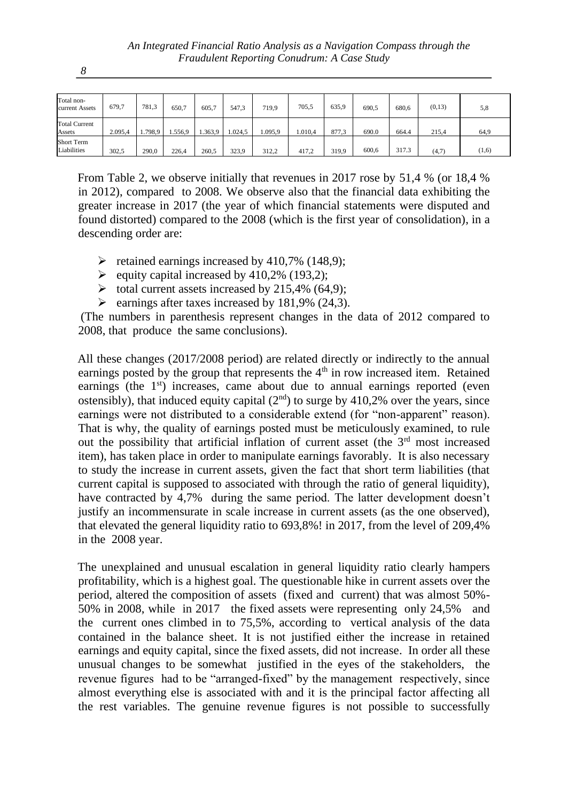| Total non-<br>current Assets     | 679,7   | 781.3   | 650.7  | 605.7   | 547.3   | 719,9  | 705,5   | 635.9 | 690.5 | 680,6 | (0,13) | 5,8   |
|----------------------------------|---------|---------|--------|---------|---------|--------|---------|-------|-------|-------|--------|-------|
| <b>Total Current</b><br>Assets   | 2.095.4 | 1.798,9 | .556.9 | 1.363,9 | 1.024.5 | .095.9 | 1.010.4 | 877.3 | 690.0 | 664.4 | 215,4  | 64,9  |
| <b>Short Term</b><br>Liabilities | 302,5   | 290,0   | 226,4  | 260.5   | 323.9   | 312.2  | 417,2   | 319,9 | 600.6 | 317.3 | (4,7)  | (1,6) |

From Table 2, we observe initially that revenues in 2017 rose by 51,4 % (or 18,4 % in 2012), compared to 2008. We observe also that the financial data exhibiting the greater increase in 2017 (the year of which financial statements were disputed and found distorted) compared to the 2008 (which is the first year of consolidation), in a descending order are:

- $\blacktriangleright$  retained earnings increased by 410,7% (148,9);
- $\blacktriangleright$  equity capital increased by 410,2% (193,2);
- $\triangleright$  total current assets increased by 215,4% (64,9);
- $\blacktriangleright$  earnings after taxes increased by 181,9% (24,3).

(The numbers in parenthesis represent changes in the data of 2012 compared to 2008, that produce the same conclusions).

All these changes (2017/2008 period) are related directly or indirectly to the annual earnings posted by the group that represents the  $4<sup>th</sup>$  in row increased item. Retained earnings (the  $1<sup>st</sup>$ ) increases, came about due to annual earnings reported (even ostensibly), that induced equity capital  $(2<sup>nd</sup>)$  to surge by 410,2% over the years, since earnings were not distributed to a considerable extend (for "non-apparent" reason). That is why, the quality of earnings posted must be meticulously examined, to rule out the possibility that artificial inflation of current asset (the  $3<sup>rd</sup>$  most increased item), has taken place in order to manipulate earnings favorably. It is also necessary to study the increase in current assets, given the fact that short term liabilities (that current capital is supposed to associated with through the ratio of general liquidity), have contracted by 4,7% during the same period. The latter development doesn't justify an incommensurate in scale increase in current assets (as the one observed), that elevated the general liquidity ratio to 693,8%! in 2017, from the level of 209,4% in the 2008 year.

The unexplained and unusual escalation in general liquidity ratio clearly hampers profitability, which is a highest goal. The questionable hike in current assets over the period, altered the composition of assets (fixed and current) that was almost 50%- 50% in 2008, while in 2017 the fixed assets were representing only 24,5% and the current ones climbed in to 75,5%, according to vertical analysis of the data contained in the balance sheet. It is not justified either the increase in retained earnings and equity capital, since the fixed assets, did not increase. In order all these unusual changes to be somewhat justified in the eyes of the stakeholders, the revenue figures had to be "arranged-fixed" by the management respectively, since almost everything else is associated with and it is the principal factor affecting all the rest variables. The genuine revenue figures is not possible to successfully

*8*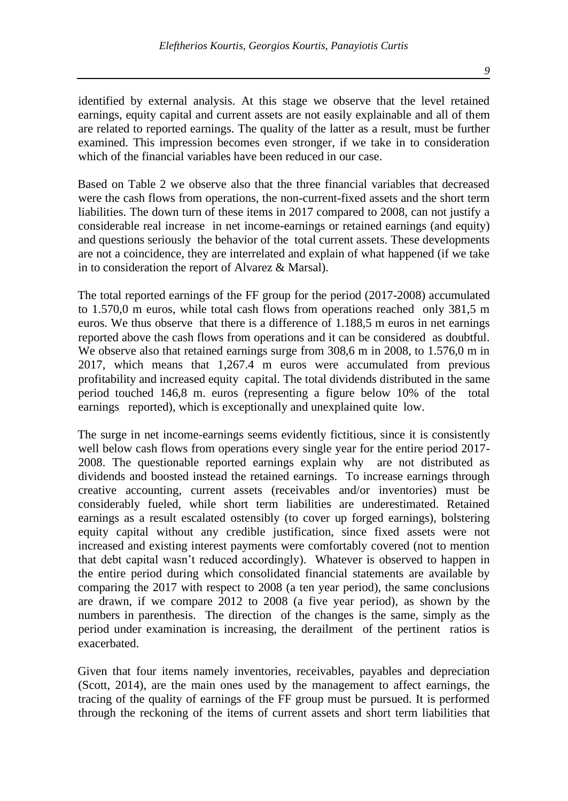identified by external analysis. At this stage we observe that the level retained earnings, equity capital and current assets are not easily explainable and all of them are related to reported earnings. The quality of the latter as a result, must be further examined. This impression becomes even stronger, if we take in to consideration which of the financial variables have been reduced in our case.

Based on Table 2 we observe also that the three financial variables that decreased were the cash flows from operations, the non-current-fixed assets and the short term liabilities. The down turn of these items in 2017 compared to 2008, can not justify a considerable real increase in net income-earnings or retained earnings (and equity) and questions seriously the behavior of the total current assets. These developments are not a coincidence, they are interrelated and explain of what happened (if we take in to consideration the report of Alvarez & Marsal).

The total reported earnings of the FF group for the period (2017-2008) accumulated to 1.570,0 m euros, while total cash flows from operations reached only 381,5 m euros. We thus observe that there is a difference of 1.188,5 m euros in net earnings reported above the cash flows from operations and it can be considered as doubtful. We observe also that retained earnings surge from 308,6 m in 2008, to 1.576,0 m in 2017, which means that 1,267.4 m euros were accumulated from previous profitability and increased equity capital. The total dividends distributed in the same period touched 146,8 m. euros (representing a figure below 10% of the total earnings reported), which is exceptionally and unexplained quite low.

The surge in net income-earnings seems evidently fictitious, since it is consistently well below cash flows from operations every single year for the entire period 2017- 2008. The questionable reported earnings explain why are not distributed as dividends and boosted instead the retained earnings. To increase earnings through creative accounting, current assets (receivables and/or inventories) must be considerably fueled, while short term liabilities are underestimated. Retained earnings as a result escalated ostensibly (to cover up forged earnings), bolstering equity capital without any credible justification, since fixed assets were not increased and existing interest payments were comfortably covered (not to mention that debt capital wasn't reduced accordingly). Whatever is observed to happen in the entire period during which consolidated financial statements are available by comparing the 2017 with respect to 2008 (a ten year period), the same conclusions are drawn, if we compare 2012 to 2008 (a five year period), as shown by the numbers in parenthesis. The direction of the changes is the same, simply as the period under examination is increasing, the derailment of the pertinent ratios is exacerbated.

Given that four items namely inventories, receivables, payables and depreciation (Scott, 2014), are the main ones used by the management to affect earnings, the tracing of the quality of earnings of the FF group must be pursued. It is performed through the reckoning of the items of current assets and short term liabilities that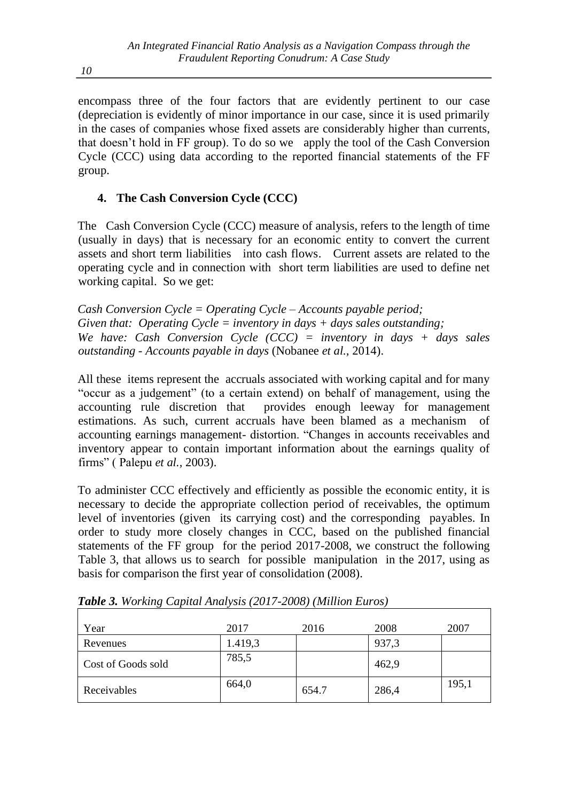encompass three of the four factors that are evidently pertinent to our case (depreciation is evidently of minor importance in our case, since it is used primarily in the cases of companies whose fixed assets are considerably higher than currents, that doesn't hold in FF group). To do so we apply the tool of the Cash Conversion Cycle (CCC) using data according to the reported financial statements of the FF group.

# **4. The Cash Conversion Cycle (CCC)**

The Cash Conversion Cycle (CCC) measure of analysis, refers to the length of time (usually in days) that is necessary for an economic entity to convert the current assets and short term liabilities into cash flows. Current assets are related to the operating cycle and in connection with short term liabilities are used to define net working capital. So we get:

*Cash Conversion Cycle = Operating Cycle – Accounts payable period; Given that: Operating Cycle = inventory in days + days sales outstanding; We have: Cash Conversion Cycle (CCC) = inventory in days + days sales outstanding - Accounts payable in days* (Nobanee *et al.,* 2014).

All these items represent the accruals associated with working capital and for many "occur as a judgement" (to a certain extend) on behalf of management, using the accounting rule discretion that provides enough leeway for management estimations. As such, current accruals have been blamed as a mechanism of accounting earnings management- distortion. "Changes in accounts receivables and inventory appear to contain important information about the earnings quality of firms" ( Palepu *et al.,* 2003).

To administer CCC effectively and efficiently as possible the economic entity, it is necessary to decide the appropriate collection period of receivables, the optimum level of inventories (given its carrying cost) and the corresponding payables. In order to study more closely changes in CCC, based on the published financial statements of the FF group for the period 2017-2008, we construct the following Table 3, that allows us to search for possible manipulation in the 2017, using as basis for comparison the first year of consolidation (2008).

| Year               | 2017    | 2016  | 2008  | 2007  |
|--------------------|---------|-------|-------|-------|
| Revenues           | 1.419,3 |       | 937,3 |       |
| Cost of Goods sold | 785,5   |       | 462,9 |       |
| Receivables        | 664,0   | 654.7 | 286,4 | 195,1 |

*Table 3. Working Capital Analysis (2017-2008) (Million Euros)*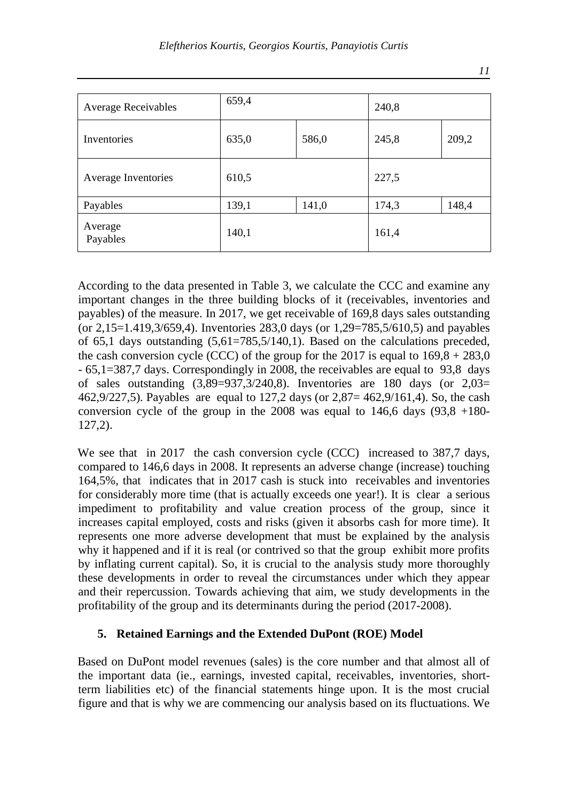| <b>Average Receivables</b> | 659,4 |       | 240,8 |       |
|----------------------------|-------|-------|-------|-------|
| Inventories                | 635,0 | 586,0 | 245,8 | 209,2 |
| Average Inventories        | 610,5 |       | 227,5 |       |
| Payables                   | 139,1 | 141,0 | 174,3 | 148,4 |
| Average<br>Payables        | 140,1 |       | 161,4 |       |

According to the data presented in Table 3, we calculate the CCC and examine any important changes in the three building blocks of it (receivables, inventories and payables) of the measure. In 2017, we get receivable of 169,8 days sales outstanding (or 2,15=1.419,3/659,4). Inventories 283,0 days (or 1,29=785,5/610,5) and payables of 65,1 days outstanding (5,61=785,5/140,1). Based on the calculations preceded, the cash conversion cycle (CCC) of the group for the 2017 is equal to  $169.8 + 283.0$ - 65,1=387,7 days. Correspondingly in 2008, the receivables are equal to 93,8 days of sales outstanding  $(3,89=937,3/240,8)$ . Inventories are 180 days (or  $2,03=$ 462,9/227,5). Payables are equal to 127,2 days (or 2,87= 462,9/161,4). So, the cash conversion cycle of the group in the 2008 was equal to 146,6 days  $(93.8 + 180 - 19.8)$ 127,2).

We see that in 2017 the cash conversion cycle (CCC) increased to 387,7 days, compared to 146,6 days in 2008. It represents an adverse change (increase) touching 164,5%, that indicates that in 2017 cash is stuck into receivables and inventories for considerably more time (that is actually exceeds one year!). It is clear a serious impediment to profitability and value creation process of the group, since it increases capital employed, costs and risks (given it absorbs cash for more time). It represents one more adverse development that must be explained by the analysis why it happened and if it is real (or contrived so that the group exhibit more profits by inflating current capital). So, it is crucial to the analysis study more thoroughly these developments in order to reveal the circumstances under which they appear and their repercussion. Towards achieving that aim, we study developments in the profitability of the group and its determinants during the period (2017-2008).

# **5. Retained Earnings and the Extended DuPont (ROE) Model**

Based on DuPont model revenues (sales) is the core number and that almost all of the important data (ie., earnings, invested capital, receivables, inventories, shortterm liabilities etc) of the financial statements hinge upon. It is the most crucial figure and that is why we are commencing our analysis based on its fluctuations. We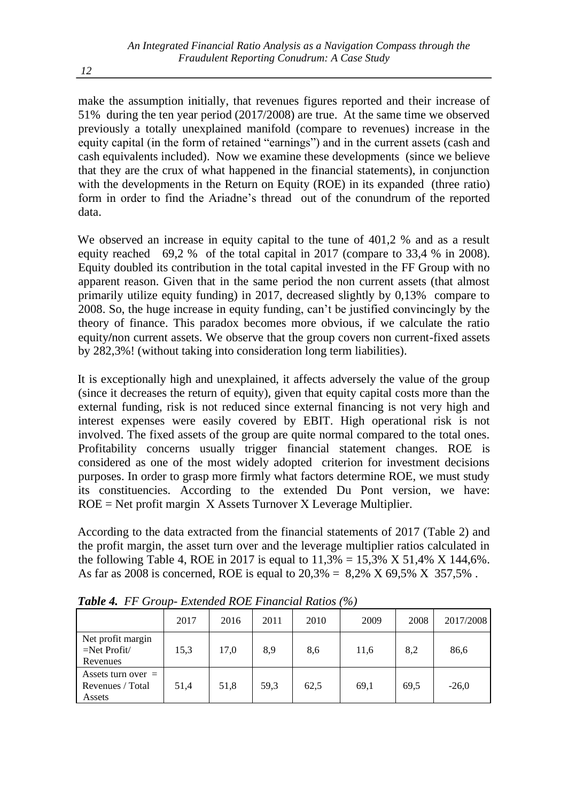make the assumption initially, that revenues figures reported and their increase of 51% during the ten year period (2017/2008) are true. At the same time we observed previously a totally unexplained manifold (compare to revenues) increase in the equity capital (in the form of retained "earnings") and in the current assets (cash and cash equivalents included). Now we examine these developments (since we believe that they are the crux of what happened in the financial statements), in conjunction with the developments in the Return on Equity (ROE) in its expanded (three ratio) form in order to find the Ariadne's thread out of the conundrum of the reported data.

We observed an increase in equity capital to the tune of 401,2 % and as a result equity reached 69,2 % of the total capital in 2017 (compare to 33,4 % in 2008). Equity doubled its contribution in the total capital invested in the FF Group with no apparent reason. Given that in the same period the non current assets (that almost primarily utilize equity funding) in 2017, decreased slightly by 0,13% compare to 2008. So, the huge increase in equity funding, can't be justified convincingly by the theory of finance. This paradox becomes more obvious, if we calculate the ratio equity**/**non current assets. We observe that the group covers non current-fixed assets by 282,3%! (without taking into consideration long term liabilities).

It is exceptionally high and unexplained, it affects adversely the value of the group (since it decreases the return of equity), given that equity capital costs more than the external funding, risk is not reduced since external financing is not very high and interest expenses were easily covered by EBIT. High operational risk is not involved. The fixed assets of the group are quite normal compared to the total ones. Profitability concerns usually trigger financial statement changes. ROE is considered as one of the most widely adopted criterion for investment decisions purposes. In order to grasp more firmly what factors determine ROE, we must study its constituencies. According to the extended Du Pont version, we have: ROE = Net profit margin Χ Assets Turnover Χ Leverage Multiplier.

According to the data extracted from the financial statements of 2017 (Table 2) and the profit margin, the asset turn over and the leverage multiplier ratios calculated in the following Table 4, ROE in 2017 is equal to  $11,3\% = 15,3\%$  X 51,4% X 144,6%. As far as 2008 is concerned, ROE is equal to  $20.3\% = 8.2\%$  X 69.5% X 357.5%.

|                                                     | 2017 | 2016 | 2011 | 2010 | 2009 | 2008 | 2017/2008 |
|-----------------------------------------------------|------|------|------|------|------|------|-----------|
| Net profit margin<br>$=$ Net Profit $/$<br>Revenues | 15,3 | 17,0 | 8,9  | 8,6  | 11,6 | 8,2  | 86,6      |
| Assets turn over $=$<br>Revenues / Total<br>Assets  | 51,4 | 51,8 | 59,3 | 62,5 | 69,1 | 69.5 | $-26.0$   |

*Table 4.**FF Group- Extended ROE Financial Ratios (%)*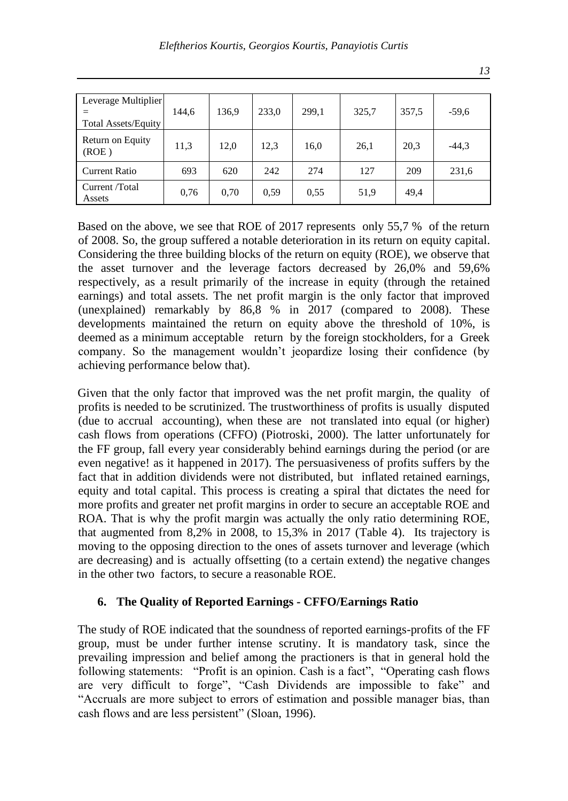| Leverage Multiplier<br><b>Total Assets/Equity</b> | 144,6 | 136,9 | 233,0 | 299,1 | 325,7 | 357,5 | $-59,6$ |
|---------------------------------------------------|-------|-------|-------|-------|-------|-------|---------|
| Return on Equity<br>(ROE)                         | 11,3  | 12.0  | 12,3  | 16,0  | 26,1  | 20,3  | $-44,3$ |
| Current Ratio                                     | 693   | 620   | 242   | 274   | 127   | 209   | 231,6   |
| Current /Total<br>Assets                          | 0,76  | 0,70  | 0.59  | 0.55  | 51,9  | 49,4  |         |

Based on the above, we see that ROE of 2017 represents only 55,7 % of the return of 2008. So, the group suffered a notable deterioration in its return on equity capital. Considering the three building blocks of the return on equity (ROE), we observe that the asset turnover and the leverage factors decreased by 26,0% and 59,6% respectively, as a result primarily of the increase in equity (through the retained earnings) and total assets. The net profit margin is the only factor that improved (unexplained) remarkably by  $86,8 %$  in 2017 (compared to 2008). These developments maintained the return on equity above the threshold of 10%, is deemed as a minimum acceptable return by the foreign stockholders, for a Greek company. So the management wouldn't jeopardize losing their confidence (by achieving performance below that).

Given that the only factor that improved was the net profit margin, the quality of profits is needed to be scrutinized. The trustworthiness of profits is usually disputed (due to accrual accounting), when these are not translated into equal (or higher) cash flows from operations (CFFO) (Piotroski, 2000). The latter unfortunately for the FF group, fall every year considerably behind earnings during the period (or are even negative! as it happened in 2017). The persuasiveness of profits suffers by the fact that in addition dividends were not distributed, but inflated retained earnings, equity and total capital. This process is creating a spiral that dictates the need for more profits and greater net profit margins in order to secure an acceptable ROE and ROA. That is why the profit margin was actually the only ratio determining ROE, that augmented from 8,2% in 2008, to 15,3% in 2017 (Table 4). Its trajectory is moving to the opposing direction to the ones of assets turnover and leverage (which are decreasing) and is actually offsetting (to a certain extend) the negative changes in the other two factors, to secure a reasonable ROE.

#### **6. The Quality of Reported Earnings - CFFO/Earnings Ratio**

The study of ROE indicated that the soundness of reported earnings-profits of the FF group, must be under further intense scrutiny. It is mandatory task, since the prevailing impression and belief among the practioners is that in general hold the following statements: "Profit is an opinion. Cash is a fact", "Operating cash flows are very difficult to forge", "Cash Dividends are impossible to fake" and "Accruals are more subject to errors of estimation and possible manager bias, than cash flows and are less persistent" (Sloan, 1996).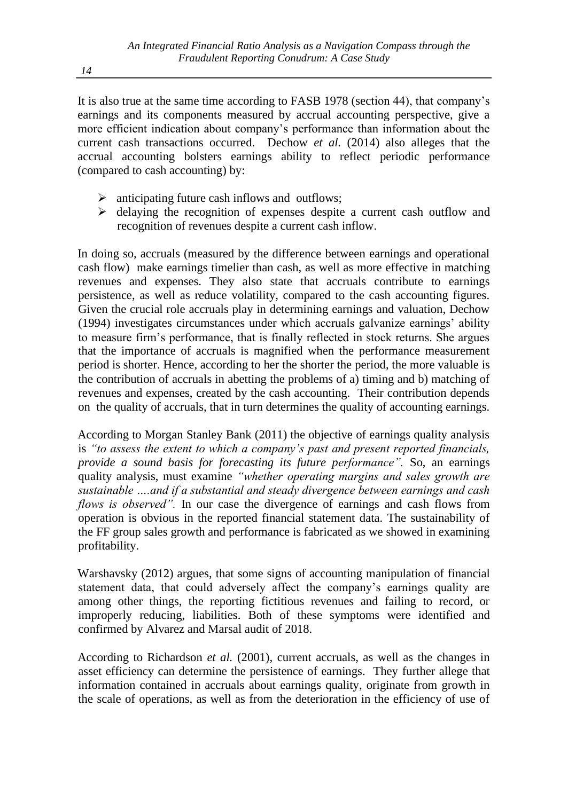It is also true at the same time according to FASB 1978 (section 44), that company's earnings and its components measured by accrual accounting perspective, give a more efficient indication about company's performance than information about the current cash transactions occurred. Dechow *et al.* (2014) also alleges that the accrual accounting bolsters earnings ability to reflect periodic performance (compared to cash accounting) by:

- ➢ anticipating future cash inflows and outflows;
- ➢ delaying the recognition of expenses despite a current cash outflow and recognition of revenues despite a current cash inflow.

In doing so, accruals (measured by the difference between earnings and operational cash flow) make earnings timelier than cash, as well as more effective in matching revenues and expenses. They also state that accruals contribute to earnings persistence, as well as reduce volatility, compared to the cash accounting figures. Given the crucial role accruals play in determining earnings and valuation, Dechow (1994) investigates circumstances under which accruals galvanize earnings' ability to measure firm's performance, that is finally reflected in stock returns. She argues that the importance of accruals is magnified when the performance measurement period is shorter. Hence, according to her the shorter the period, the more valuable is the contribution of accruals in abetting the problems of a) timing and b) matching of revenues and expenses, created by the cash accounting. Their contribution depends on the quality of accruals, that in turn determines the quality of accounting earnings.

According to Morgan Stanley Bank (2011) the objective of earnings quality analysis is *"to assess the extent to which a company's past and present reported financials, provide a sound basis for forecasting its future performance".* So, an earnings quality analysis, must examine *"whether operating margins and sales growth are sustainable ….and if a substantial and steady divergence between earnings and cash flows is observed"*. In our case the divergence of earnings and cash flows from operation is obvious in the reported financial statement data. The sustainability of the FF group sales growth and performance is fabricated as we showed in examining profitability.

Warshavsky (2012) argues, that some signs of accounting manipulation of financial statement data, that could adversely affect the company's earnings quality are among other things, the reporting fictitious revenues and failing to record, or improperly reducing, liabilities. Both of these symptoms were identified and confirmed by Alvarez and Μarsal audit of 2018.

According to Richardson *et al.* (2001), current accruals, as well as the changes in asset efficiency can determine the persistence of earnings. They further allege that information contained in accruals about earnings quality, originate from growth in the scale of operations, as well as from the deterioration in the efficiency of use of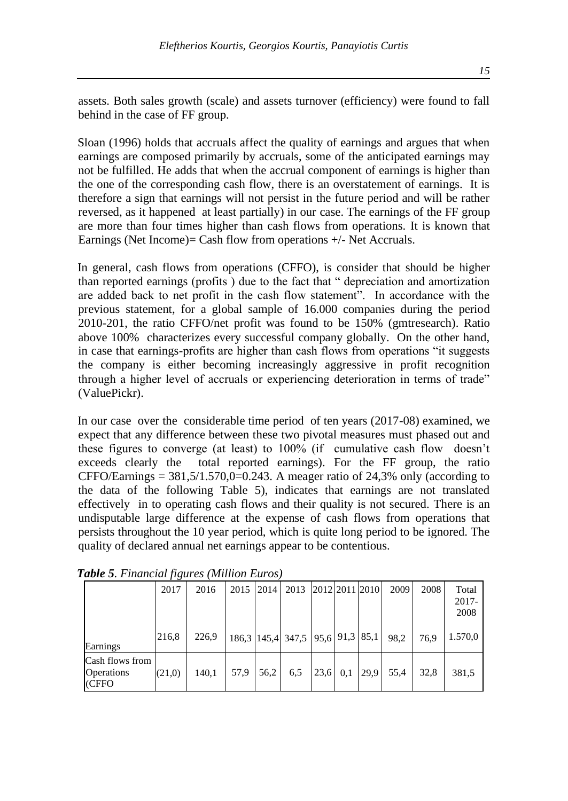assets. Both sales growth (scale) and assets turnover (efficiency) were found to fall behind in the case of FF group.

Sloan (1996) holds that accruals affect the quality of earnings and argues that when earnings are composed primarily by accruals, some of the anticipated earnings may not be fulfilled. He adds that when the accrual component of earnings is higher than the one of the corresponding cash flow, there is an overstatement of earnings. It is therefore a sign that earnings will not persist in the future period and will be rather reversed, as it happened at least partially) in our case. The earnings of the FF group are more than four times higher than cash flows from operations. It is known that Earnings (Net Income)= Cash flow from operations  $+/-$  Net Accruals.

In general, cash flows from operations (CFFO), is consider that should be higher than reported earnings (profits ) due to the fact that " depreciation and amortization are added back to net profit in the cash flow statement". In accordance with the previous statement, for a global sample of 16.000 companies during the period 2010-201, the ratio CFFO/net profit was found to be 150% (gmtresearch). Ratio above 100% characterizes every successful company globally. On the other hand, in case that earnings-profits are higher than cash flows from operations "it suggests the company is either becoming increasingly aggressive in profit recognition through a higher level of accruals or experiencing deterioration in terms of trade" (ValuePickr).

In our case over the considerable time period of ten years (2017-08) examined, we expect that any difference between these two pivotal measures must phased out and these figures to converge (at least) to 100% (if cumulative cash flow doesn't exceeds clearly the total reported earnings). For the FF group, the ratio CFFO/Earnings =  $381,5/1.570,0=0.243$ . A meager ratio of 24,3% only (according to the data of the following Table 5), indicates that earnings are not translated effectively in to operating cash flows and their quality is not secured. There is an undisputable large difference at the expense of cash flows from operations that persists throughout the 10 year period, which is quite long period to be ignored. The quality of declared annual net earnings appear to be contentious.

|                                               | 2017   | 2016  | 2015 | 2014 | 2013                             |      |     | 2012 2011 2010 | 2009 | 2008 | Total<br>$2017 -$<br>2008 |
|-----------------------------------------------|--------|-------|------|------|----------------------------------|------|-----|----------------|------|------|---------------------------|
| Earnings                                      | 216,8  | 226,9 |      |      | 186,3 145,4 347,5 95,6 91,3 85,1 |      |     |                | 98.2 | 76.9 | 1.570,0                   |
| Cash flows from<br><b>Operations</b><br>(CFFO | (21,0) | 140,1 | 57,9 | 56,2 | 6,5                              | 23.6 | 0,1 | 29.9           | 55,4 | 32,8 | 381,5                     |

*Table 5. Financial figures (Million Euros)*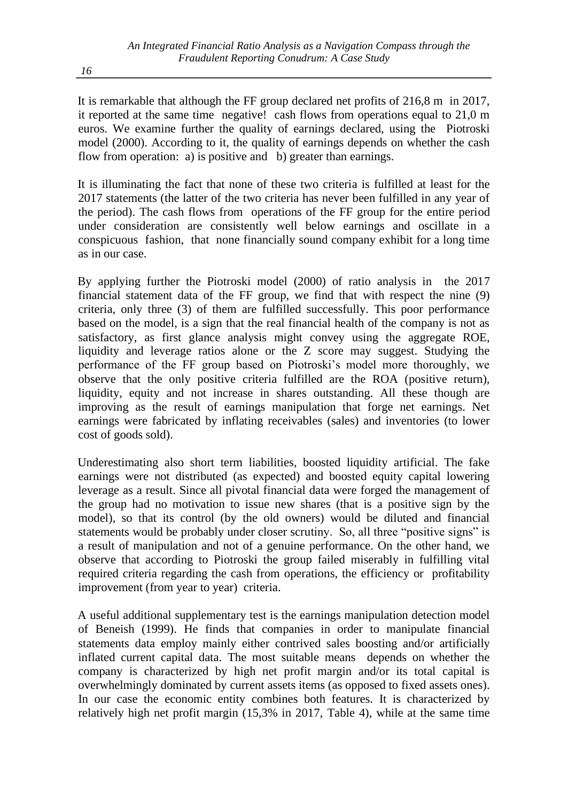It is remarkable that although the FF group declared net profits of 216,8 m in 2017, it reported at the same time negative! cash flows from operations equal to 21,0 m euros. We examine further the quality of earnings declared, using the Piotroski model (2000). According to it, the quality of earnings depends on whether the cash flow from operation: a) is positive and b) greater than earnings.

It is illuminating the fact that none of these two criteria is fulfilled at least for the 2017 statements (the latter of the two criteria has never been fulfilled in any year of the period). The cash flows from operations of the FF group for the entire period under consideration are consistently well below earnings and oscillate in a conspicuous fashion, that none financially sound company exhibit for a long time as in our case.

By applying further the Piotroski model (2000) of ratio analysis in the 2017 financial statement data of the FF group, we find that with respect the nine (9) criteria, only three (3) of them are fulfilled successfully. This poor performance based on the model, is a sign that the real financial health of the company is not as satisfactory, as first glance analysis might convey using the aggregate ROE, liquidity and leverage ratios alone or the Z score may suggest. Studying the performance of the FF group based on Piotroski's model more thoroughly, we observe that the only positive criteria fulfilled are the ROA (positive return), liquidity, equity and not increase in shares outstanding. All these though are improving as the result of earnings manipulation that forge net earnings. Net earnings were fabricated by inflating receivables (sales) and inventories (to lower cost of goods sold).

Underestimating also short term liabilities, boosted liquidity artificial. The fake earnings were not distributed (as expected) and boosted equity capital lowering leverage as a result. Since all pivotal financial data were forged the management of the group had no motivation to issue new shares (that is a positive sign by the model), so that its control (by the old owners) would be diluted and financial statements would be probably under closer scrutiny. So, all three "positive signs" is a result of manipulation and not of a genuine performance. On the other hand, we observe that according to Piotroski the group failed miserably in fulfilling vital required criteria regarding the cash from operations, the efficiency or profitability improvement (from year to year) criteria.

A useful additional supplementary test is the earnings manipulation detection model of Beneish (1999). He finds that companies in order to manipulate financial statements data employ mainly either contrived sales boosting and/or artificially inflated current capital data. The most suitable means depends on whether the company is characterized by high net profit margin and/or its total capital is overwhelmingly dominated by current assets items (as opposed to fixed assets ones). In our case the economic entity combines both features. It is characterized by relatively high net profit margin (15,3% in 2017, Table 4), while at the same time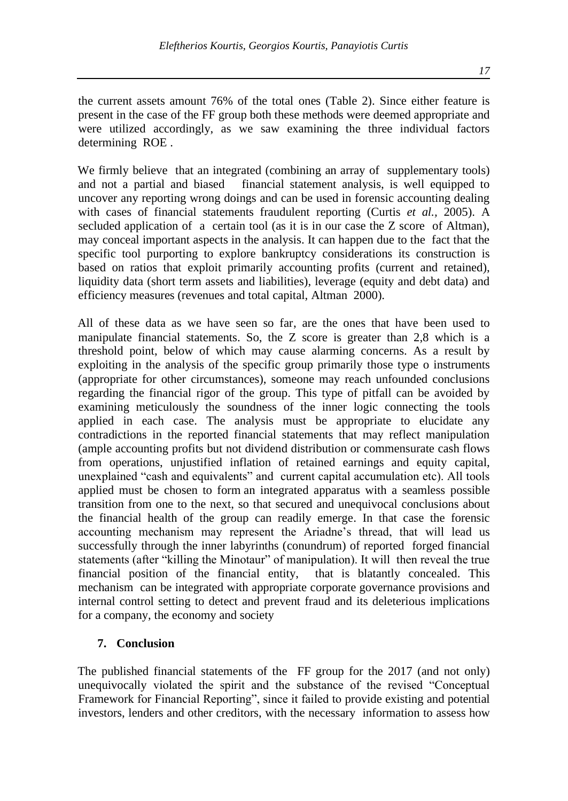the current assets amount 76% of the total ones (Table 2). Since either feature is present in the case of the FF group both these methods were deemed appropriate and were utilized accordingly, as we saw examining the three individual factors determining ROE .

We firmly believe that an integrated (combining an array of supplementary tools) and not a partial and biased financial statement analysis, is well equipped to uncover any reporting wrong doings and can be used in forensic accounting dealing with cases of financial statements fraudulent reporting (Curtis *et al.,* 2005). A secluded application of a certain tool (as it is in our case the Z score of Altman), may conceal important aspects in the analysis. It can happen due to the fact that the specific tool purporting to explore bankruptcy considerations its construction is based on ratios that exploit primarily accounting profits (current and retained), liquidity data (short term assets and liabilities), leverage (equity and debt data) and efficiency measures (revenues and total capital, Altman 2000).

All of these data as we have seen so far, are the ones that have been used to manipulate financial statements. So, the Z score is greater than 2,8 which is a threshold point, below of which may cause alarming concerns. As a result by exploiting in the analysis of the specific group primarily those type o instruments (appropriate for other circumstances), someone may reach unfounded conclusions regarding the financial rigor of the group. This type of pitfall can be avoided by examining meticulously the soundness of the inner logic connecting the tools applied in each case. The analysis must be appropriate to elucidate any contradictions in the reported financial statements that may reflect manipulation (ample accounting profits but not dividend distribution or commensurate cash flows from operations, unjustified inflation of retained earnings and equity capital, unexplained "cash and equivalents" and current capital accumulation etc). All tools applied must be chosen to form an integrated apparatus with a seamless possible transition from one to the next, so that secured and unequivocal conclusions about the financial health of the group can readily emerge. In that case the forensic accounting mechanism may represent the Ariadne's thread, that will lead us successfully through the inner labyrinths (conundrum) of reported forged financial statements (after "killing the Minotaur" of manipulation). It will then reveal the true financial position of the financial entity, that is blatantly concealed. This mechanism can be integrated with appropriate corporate governance provisions and internal control setting to detect and prevent fraud and its deleterious implications for a company, the economy and society

# **7. Conclusion**

The published financial statements of the FF group for the 2017 (and not only) unequivocally violated the spirit and the substance of the revised "Conceptual Framework for Financial Reporting", since it failed to provide existing and potential investors, lenders and other creditors, with the necessary information to assess how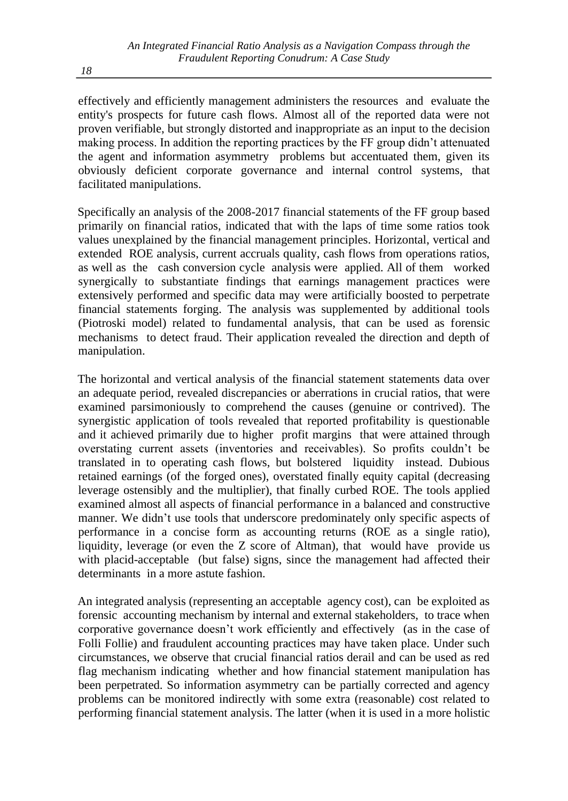effectively and efficiently management administers the resources and evaluate the entity's prospects for future cash flows. Almost all of the reported data were not proven verifiable, but strongly distorted and inappropriate as an input to the decision making process. In addition the reporting practices by the FF group didn't attenuated the agent and information asymmetry problems but accentuated them, given its obviously deficient corporate governance and internal control systems, that facilitated manipulations.

Specifically an analysis of the 2008-2017 financial statements of the FF group based primarily on financial ratios, indicated that with the laps of time some ratios took values unexplained by the financial management principles. Ηorizontal, vertical and extended ROE analysis, current accruals quality, cash flows from operations ratios, as well as the cash conversion cycle analysis were applied. All of them worked synergically to substantiate findings that earnings management practices were extensively performed and specific data may were artificially boosted to perpetrate financial statements forging. The analysis was supplemented by additional tools (Piotroski model) related to fundamental analysis, that can be used as forensic mechanisms to detect fraud. Their application revealed the direction and depth of manipulation.

The horizontal and vertical analysis of the financial statement statements data over an adequate period, revealed discrepancies or aberrations in crucial ratios, that were examined parsimoniously to comprehend the causes (genuine or contrived). The synergistic application of tools revealed that reported profitability is questionable and it achieved primarily due to higher profit margins that were attained through overstating current assets (inventories and receivables). So profits couldn't be translated in to operating cash flows, but bolstered liquidity instead. Dubious retained earnings (of the forged ones), overstated finally equity capital (decreasing leverage ostensibly and the multiplier), that finally curbed ROE. The tools applied examined almost all aspects of financial performance in a balanced and constructive manner. We didn't use tools that underscore predominately only specific aspects of performance in a concise form as accounting returns (ROE as a single ratio), liquidity, leverage (or even the Z score of Altman), that would have provide us with placid-acceptable (but false) signs, since the management had affected their determinants in a more astute fashion.

An integrated analysis (representing an acceptable agency cost), can be exploited as forensic accounting mechanism by internal and external stakeholders, to trace when corporative governance doesn't work efficiently and effectively (as in the case of Folli Follie) and fraudulent accounting practices may have taken place. Under such circumstances, we observe that crucial financial ratios derail and can be used as red flag mechanism indicating whether and how financial statement manipulation has been perpetrated. So information asymmetry can be partially corrected and agency problems can be monitored indirectly with some extra (reasonable) cost related to performing financial statement analysis. The latter (when it is used in a more holistic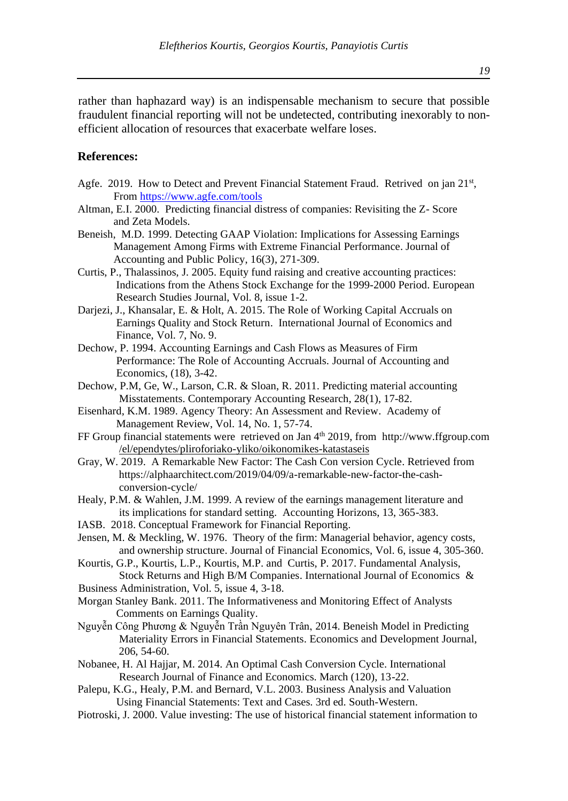rather than haphazard way) is an indispensable mechanism to secure that possible fraudulent financial reporting will not be undetected, contributing inexorably to nonefficient allocation of resources that exacerbate welfare loses.

#### **References:**

- Agfe. 2019. How to Detect and Prevent Financial Statement Fraud. Retrived on jan 21<sup>st</sup>, From <https://www.agfe.com/tools>
- Altman, E.I. 2000. Predicting financial distress of companies: Revisiting the Z- Score and Zeta Models.
- Beneish, M.D. 1999. Detecting GAAP Violation: Implications for Assessing Earnings Management Among Firms with Extreme Financial Performance. Journal of Accounting and Public Policy, 16(3), 271-309.
- Curtis, P., Thalassinos, J. 2005. Equity fund raising and creative accounting practices: Indications from the Athens Stock Exchange for the 1999-2000 Period. European Research Studies Journal, Vol. 8, issue 1-2.
- Darjezi, J., Khansalar, E. & Holt, A. 2015. The Role of Working Capital Accruals on Earnings Quality and Stock Return. International Journal of Economics and Finance, Vol. 7, No. 9.
- Dechow, P. 1994. Accounting Earnings and Cash Flows as Measures of Firm Performance: The Role of Accounting Accruals. Journal of Accounting and Economics, (18), 3-42.
- Dechow, P.M, Ge, W., Larson, C.R. & Sloan, R. 2011. Predicting material accounting Misstatements. Contemporary Accounting Research, 28(1), 17-82.
- Eisenhard, K.M. 1989. Agency Theory: An Assessment and Review. Academy of Management Review, Vol. 14, No. 1, 57-74.
- FF Group financial statements were retrieved on Jan 4<sup>th</sup> 2019, from http://www.ffgroup.com [/el/ependytes/pliroforiako-yliko/oikonomikes-katastaseis](http://www.ffgroup.com/el/ependytes/pliroforiako-yliko/oikonomikes-)
- Gray, W. 2019. A Remarkable New Factor: The Cash Con version Cycle. Retrieved from [https://alphaarchitect.com/2019/04/09/a-remarkable-new-factor-the-cash](https://alphaarchitect.com/2019/04/09/a-remarkable-new-factor-the-cash-)  conversio[n-cycle/](https://alphaarchitect.com/2019/04/09/a-remarkable-new-factor-the-cash-conversion-cycle/)
- Healy, P.M. & Wahlen, J.M. 1999. A review of the earnings management literature and its implications for standard setting. Accounting Horizons, 13, 365-383.
- IASB. 2018. Conceptual Framework for Financial Reporting.
- Jensen, M. & Meckling, W. 1976. Theory of the firm: Managerial behavior, agency costs, and ownership structure. Journal of Financial Economics, Vol. 6, issue 4, 305-360.
- Kourtis, G.P., Κourtis, L.P., Kourtis, M.P. and Curtis, P. 2017[. Fundamental Analysis,](https://ideas.repec.org/a/ers/ijebaa/vvy2017i4p3-18.html)  Stock Returns and High B/M Companies. [International Journal of Economics](https://ideas.repec.org/s/ers/ijebaa.html) &
- Business Administration, Vol. 5, issue 4, 3-18.
- Morgan Stanley Bank. 2011. The Informativeness and Monitoring Effect of Analysts Comments on Earnings Quality.
- Nguyễn Công Phương & Nguyễn Trần Nguyên Trân, 2014. Beneish Model in Predicting Materiality Errors in Financial Statements. Economics and Development Journal, 206, 54-60.
- Nobanee, H. Al Hajjar, M. 2014. An Optimal Cash Conversion Cycle. International Research Journal of Finance and Economics. March (120), 13-22.
- Palepu, K.G., Healy, P.M. and Bernard, V.L. 2003. Business Analysis and Valuation Using Financial Statements: Text and Cases. 3rd ed. South-Western.
- Piotroski, J. 2000. Value investing: The use of historical financial statement information to